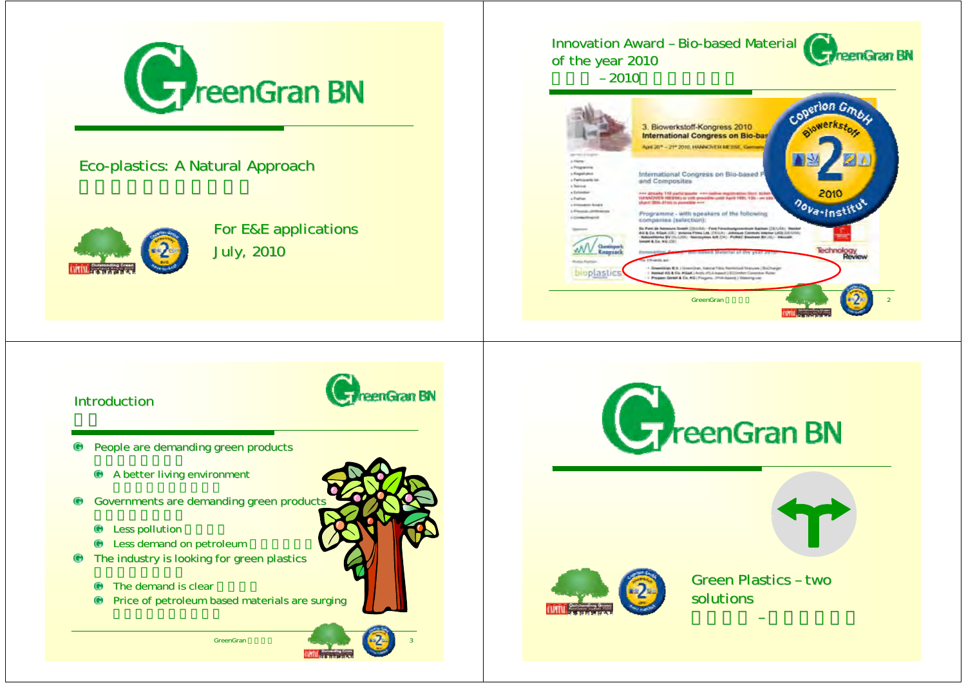

## Eco-plastics: A Natural Approach



For E&E applications **July, 2010** 

### Innovation Award – Bio-based Material reenGran BN of the year 2010



### Introduction



People are demanding green products People are demanding green products

- $\bigoplus$  A better living environment
- Governments are demanding green products Governments are demanding green products
	- Less pollution Less pollution
	- Less demand on petroleum Less demand on petroleum
- $\bullet$  The industry is looking for green plastics
	- $\bullet$ The demand is clear
	- $\bullet$  Price of petroleum based materials are surging

GreenGran



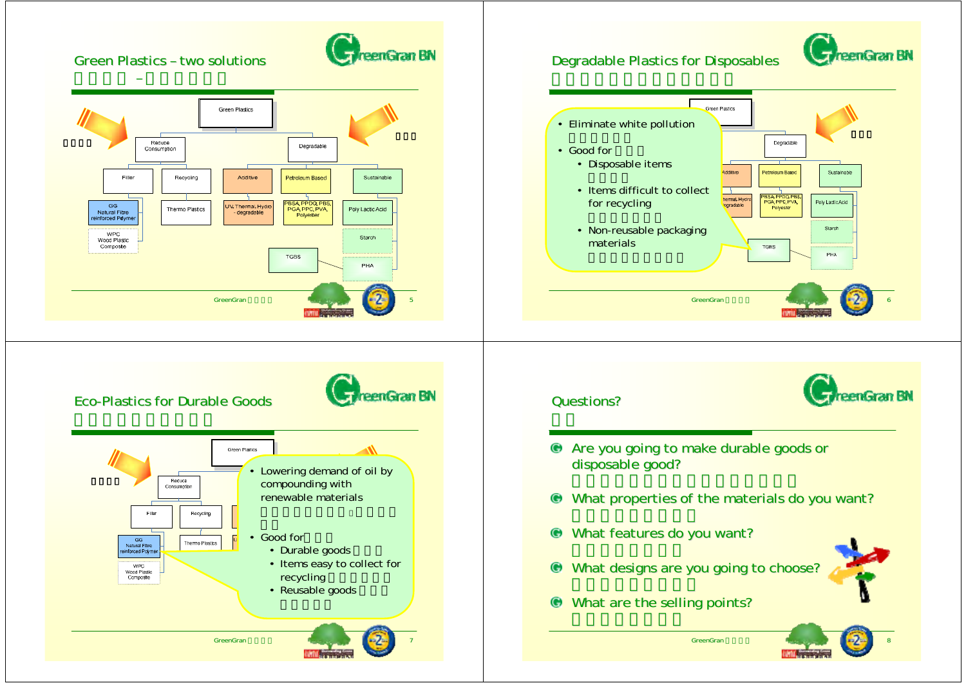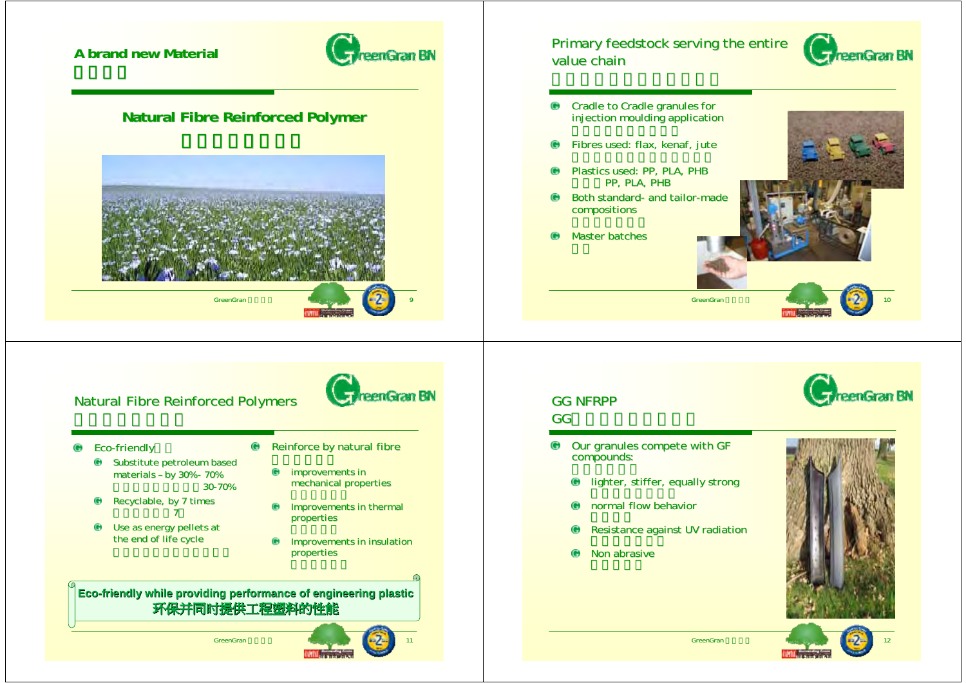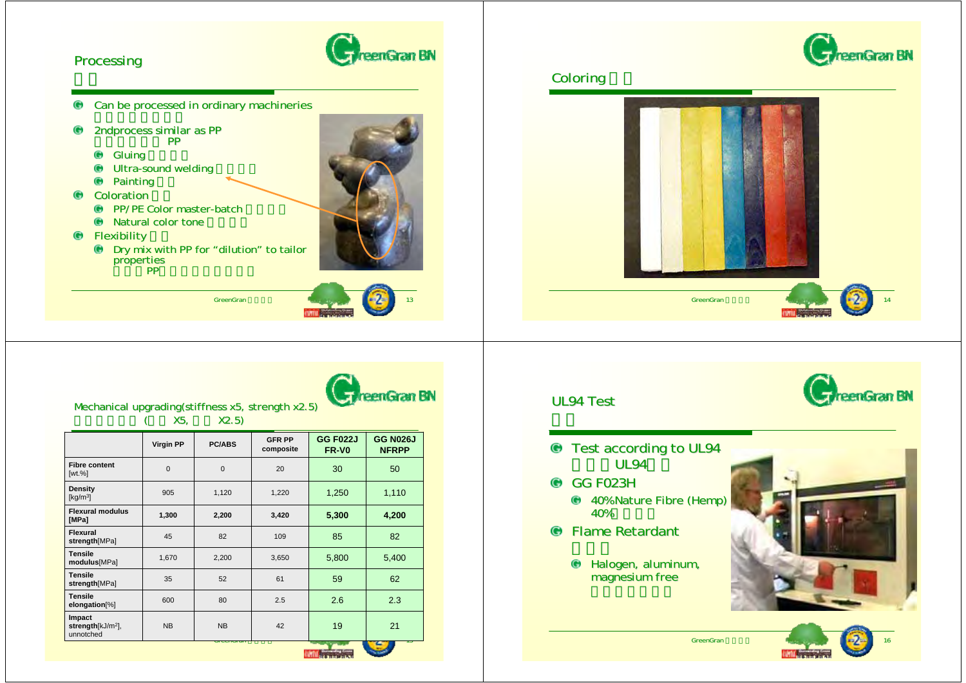



|                                                        | <b>Virgin PP</b> | <b>PC/ABS</b>  | <b>GFR PP</b><br>composite | <b>GG F022J</b><br>FR-VO | <b>GG N026J</b><br><b>NFRPP</b> |
|--------------------------------------------------------|------------------|----------------|----------------------------|--------------------------|---------------------------------|
| <b>Fibre content</b><br>$[wt. \%]$                     | $\mathbf 0$      | $\overline{0}$ | 20                         | 30                       | 50                              |
| Density<br>$\left[\frac{\text{kg}}{\text{m}^3}\right]$ | 905              | 1,120          | 1,220                      | 1,250                    | 1,110                           |
| <b>Flexural modulus</b><br>[MPa]                       | 1,300            | 2,200          | 3,420                      | 5,300                    | 4,200                           |
| Flexural<br>strength[MPa]                              | 45               | 82             | 109                        | 85                       | 82                              |
| <b>Tensile</b><br>modulus[MPa]                         | 1,670            | 2,200          | 3,650                      | 5,800                    | 5,400                           |
| <b>Tensile</b><br>strength[MPa]                        | 35               | 52             | 61                         | 59                       | 62                              |
| <b>Tensile</b><br>elongation[%]                        | 600              | 80             | 2.5                        | 2.6                      | 2.3                             |
| Impact<br>strength[kJ/m <sup>2</sup> ],<br>unnotched   | <b>NB</b>        | <b>NB</b>      | 42                         | 19                       | 21                              |
|                                                        |                  | utunuan        |                            | <b>Contract Contract</b> |                                 |

# eenGran BN UL94 Test Test according to UL94 UL94 **CG F023H** 40% Nature Fibre (Hemp) 40%Flame Retardant Halogen, aluminum, Halogen, magnesium freeGreenGran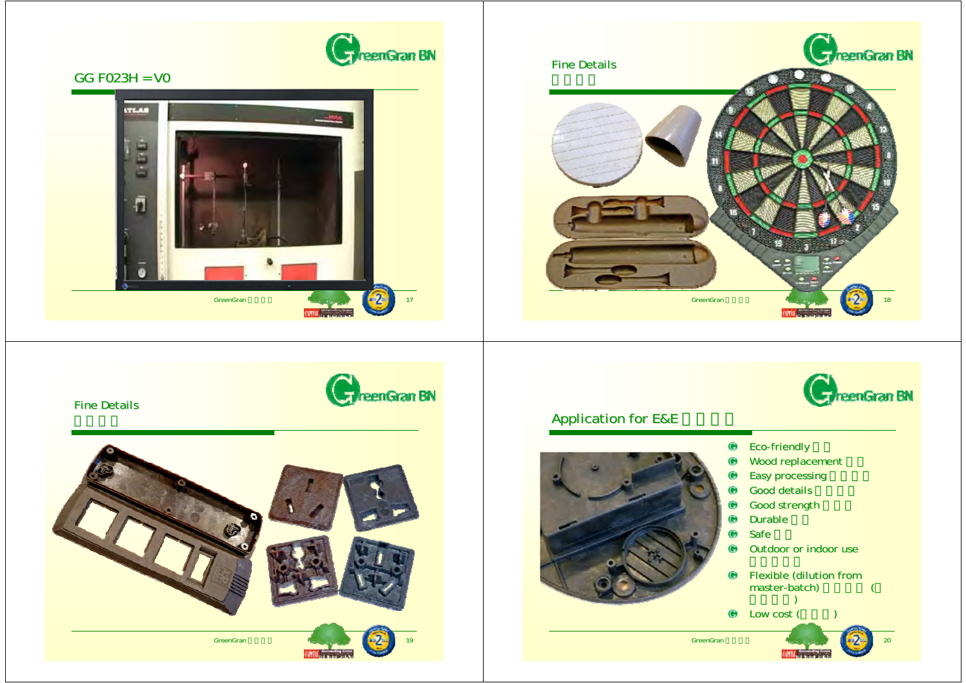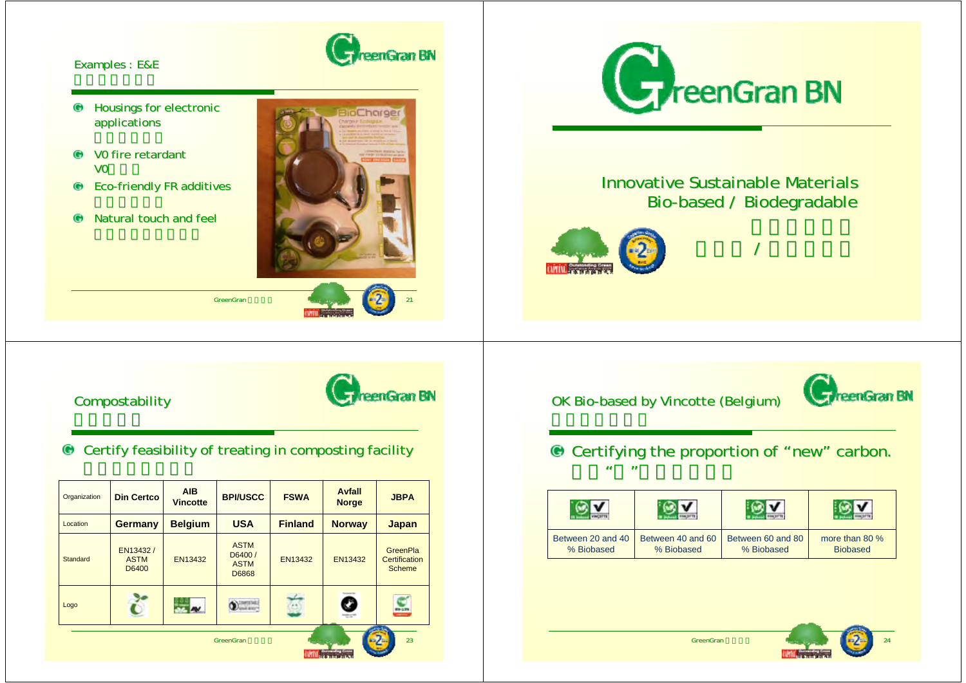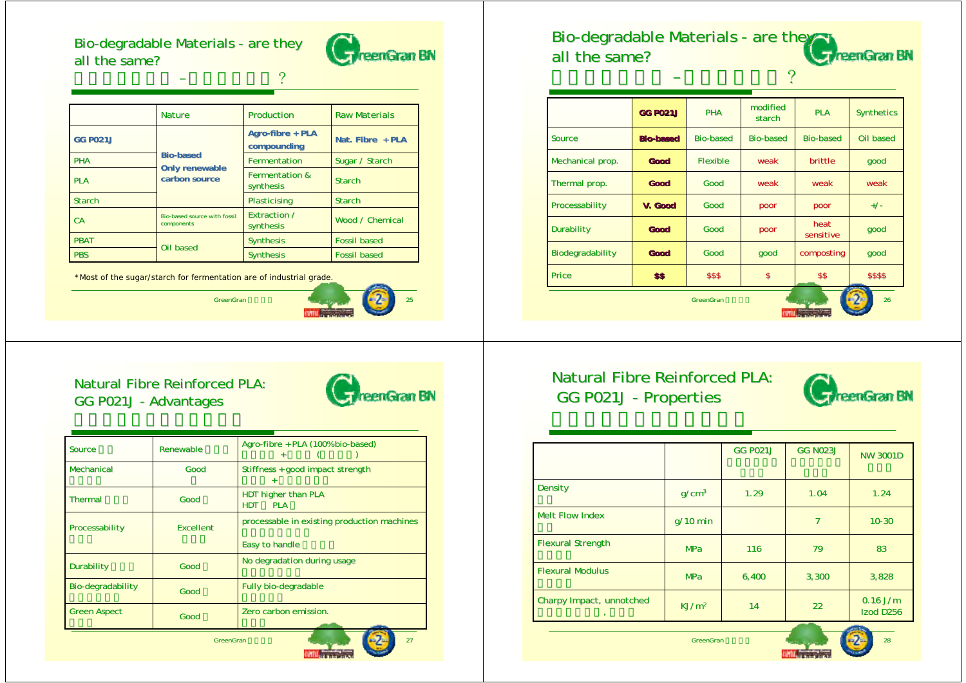Bio-degradable Materials - are they all the same?

–



|                 | <b>Nature</b>                              | Production                             | <b>Raw Materials</b> |  |
|-----------------|--------------------------------------------|----------------------------------------|----------------------|--|
| <b>GG P021J</b> |                                            | Agro-fibre + PLA<br>compounding        | Nat. Fibre $+$ PLA   |  |
| <b>PHA</b>      | <b>Bio-based</b>                           | Fermentation                           | Sugar / Starch       |  |
| <b>PLA</b>      | <b>Only renewable</b><br>carbon source     | <b>Fermentation &amp;</b><br>synthesis | <b>Starch</b>        |  |
| <b>Starch</b>   |                                            | Plasticising                           | <b>Starch</b>        |  |
| <b>CA</b>       | Bio-based source with fossil<br>components | Extraction /<br>synthesis              | Wood / Chemical      |  |
| <b>PBAT</b>     | Oil based                                  | <b>Synthesis</b>                       | <b>Fossil based</b>  |  |
| <b>PBS</b>      |                                            | <b>Synthesis</b>                       | <b>Fossil based</b>  |  |

?





## Natural Fibre Reinforced PLA: GG P021J - Advantages



| Source                | Renewable        | Agro-fibre + PLA (100% bio-based)<br>$+$        |  |
|-----------------------|------------------|-------------------------------------------------|--|
| Mechanical            | Good             | Stiffness + good impact strength                |  |
| <b>Thermal</b>        | Good             | HDT higher than PLA<br><b>HDT</b><br><b>PLA</b> |  |
| <b>Processability</b> | <b>Excellent</b> | processable in existing production machines     |  |
|                       |                  | Easy to handle                                  |  |
| <b>Durability</b>     | Good             | No degradation during usage                     |  |
| Bio-degradability     | Good             | <b>Fully bio-degradable</b>                     |  |
| <b>Green Aspect</b>   | Good             | Zero carbon emission.                           |  |
|                       |                  |                                                 |  |

GreenGran

### Bio-degradable Materials - are they reenGran BN all the same?

–

| <b>GG P021J</b>  | <b>PHA</b>       | modified<br>starch | <b>PLA</b>        | <b>Synthetics</b> |
|------------------|------------------|--------------------|-------------------|-------------------|
| <b>Bio-based</b> | <b>Bio-based</b> | <b>Bio-based</b>   | <b>Bio-based</b>  | Oil based         |
| Good             | <b>Flexible</b>  | weak               | brittle           | good              |
| Good             | Good             | weak               | weak              | weak              |
| V. Good          | Good             | poor               | poor              | $+/-$             |
| Good             | Good             | poor               | heat<br>sensitive | good              |
| Good             | Good             | good               | composting        | good              |
| \$\$             | \$\$\$           | \$                 | \$\$              | \$\$\$\$          |
|                  |                  |                    |                   |                   |

?

# Natural Fibre Reinforced PLA: GG P021J - Properties



|                          |                   | <b>GG P021J</b> | <b>GG N023J</b> | <b>NW 3001D</b>                     |
|--------------------------|-------------------|-----------------|-----------------|-------------------------------------|
| Density                  | q/cm <sup>3</sup> | 1.29            | 1.04            | 1.24                                |
| <b>Melt Flow Index</b>   | $q/10$ min        |                 | 7               | $10 - 30$                           |
| <b>Flexural Strength</b> | <b>MPa</b>        | 116             | 79              | 83                                  |
| <b>Flexural Modulus</b>  | <b>MPa</b>        | 6,400           | 3,300           | 3,828                               |
| Charpy Impact, unnotched | KJ/m <sup>2</sup> | 14              | 22              | $0.16$ J/m<br>Izod D <sub>256</sub> |

GreenGran

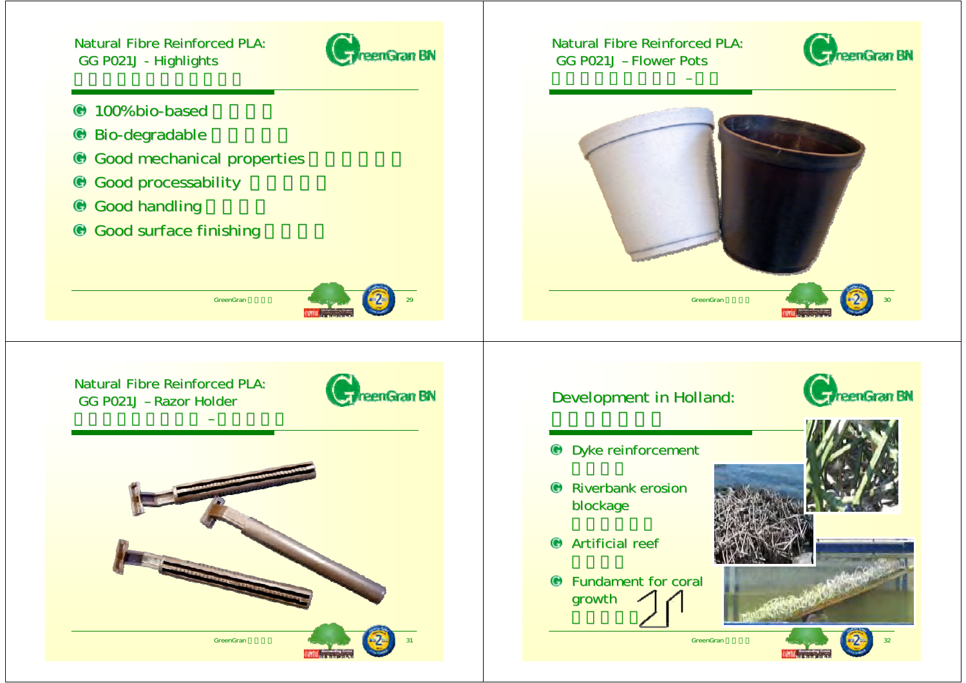